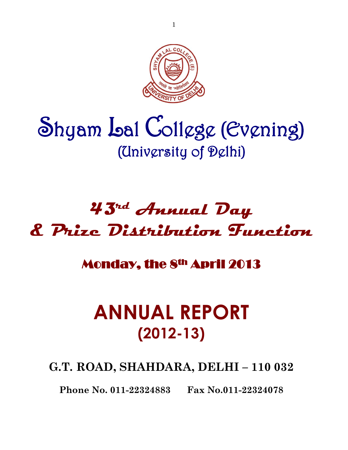

# Shyam Lal College (Evening) (University of Delhi)

## **43rd Annual Day & Prize Distribution Function**

### Monday, the 8th April 2013

### **ANNUAL REPORT (2012-13)**

**G.T. ROAD, SHAHDARA, DELHI – 110 032**

**Phone No. 011-22324883 Fax No.011-22324078**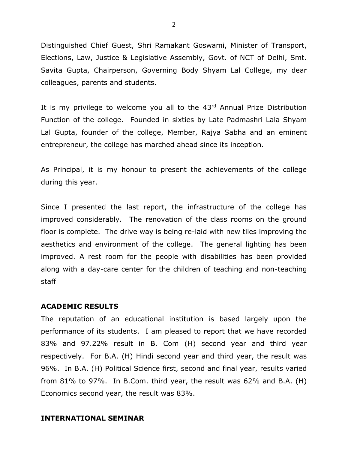Distinguished Chief Guest, Shri Ramakant Goswami, Minister of Transport, Elections, Law, Justice & Legislative Assembly, Govt. of NCT of Delhi, Smt. Savita Gupta, Chairperson, Governing Body Shyam Lal College, my dear colleagues, parents and students.

It is my privilege to welcome you all to the 43rd Annual Prize Distribution Function of the college. Founded in sixties by Late Padmashri Lala Shyam Lal Gupta, founder of the college, Member, Rajya Sabha and an eminent entrepreneur, the college has marched ahead since its inception.

As Principal, it is my honour to present the achievements of the college during this year.

Since I presented the last report, the infrastructure of the college has improved considerably. The renovation of the class rooms on the ground floor is complete. The drive way is being re-laid with new tiles improving the aesthetics and environment of the college. The general lighting has been improved. A rest room for the people with disabilities has been provided along with a day-care center for the children of teaching and non-teaching staff

#### **ACADEMIC RESULTS**

The reputation of an educational institution is based largely upon the performance of its students. I am pleased to report that we have recorded 83% and 97.22% result in B. Com (H) second year and third year respectively. For B.A. (H) Hindi second year and third year, the result was 96%. In B.A. (H) Political Science first, second and final year, results varied from 81% to 97%. In B.Com. third year, the result was 62% and B.A. (H) Economics second year, the result was 83%.

#### **INTERNATIONAL SEMINAR**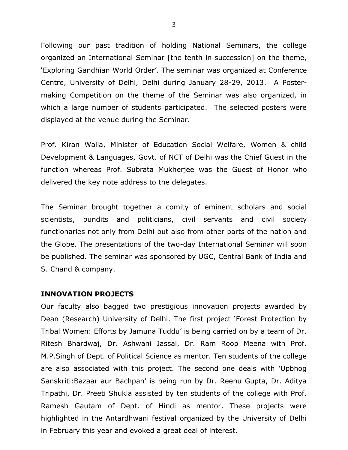Following our past tradition of holding National Seminars, the college organized an International Seminar [the tenth in succession] on the theme, 'Exploring Gandhian World Order'. The seminar was organized at Conference Centre, University of Delhi, Delhi during January 28-29, 2013. A Postermaking Competition on the theme of the Seminar was also organized, in which a large number of students participated. The selected posters were displayed at the venue during the Seminar.

Prof. Kiran Walia, Minister of Education Social Welfare, Women & child Development & Languages, Govt. of NCT of Delhi was the Chief Guest in the function whereas Prof. Subrata Mukherjee was the Guest of Honor who delivered the key note address to the delegates.

The Seminar brought together a comity of eminent scholars and social scientists, pundits and politicians, civil servants and civil society functionaries not only from Delhi but also from other parts of the nation and the Globe. The presentations of the two-day International Seminar will soon be published. The seminar was sponsored by UGC, Central Bank of India and S. Chand & company.

#### **INNOVATION PROJECTS**

Our faculty also bagged two prestigious innovation projects awarded by Dean (Research) University of Delhi. The first project 'Forest Protection by Tribal Women: Efforts by Jamuna Tuddu' is being carried on by a team of Dr. Ritesh Bhardwaj, Dr. Ashwani Jassal, Dr. Ram Roop Meena with Prof. M.P.Singh of Dept. of Political Science as mentor. Ten students of the college are also associated with this project. The second one deals with 'Upbhog Sanskriti:Bazaar aur Bachpan' is being run by Dr. Reenu Gupta, Dr. Aditya Tripathi, Dr. Preeti Shukla assisted by ten students of the college with Prof. Ramesh Gautam of Dept. of Hindi as mentor. These projects were highlighted in the Antardhwani festival organized by the University of Delhi in February this year and evoked a great deal of interest.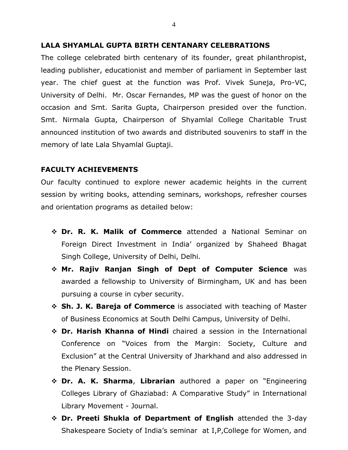#### **LALA SHYAMLAL GUPTA BIRTH CENTANARY CELEBRATIONS**

The college celebrated birth centenary of its founder, great philanthropist, leading publisher, educationist and member of parliament in September last year. The chief guest at the function was Prof. Vivek Suneja, Pro-VC, University of Delhi. Mr. Oscar Fernandes, MP was the guest of honor on the occasion and Smt. Sarita Gupta, Chairperson presided over the function. Smt. Nirmala Gupta, Chairperson of Shyamlal College Charitable Trust announced institution of two awards and distributed souvenirs to staff in the memory of late Lala Shyamlal Guptaji.

#### **FACULTY ACHIEVEMENTS**

Our faculty continued to explore newer academic heights in the current session by writing books, attending seminars, workshops, refresher courses and orientation programs as detailed below:

- ❖ **Dr. R. K. Malik of Commerce** attended a National Seminar on Foreign Direct Investment in India' organized by Shaheed Bhagat Singh College, University of Delhi, Delhi.
- ❖ **Mr. Rajiv Ranjan Singh of Dept of Computer Science** was awarded a fellowship to University of Birmingham, UK and has been pursuing a course in cyber security.
- ❖ **Sh. J. K. Bareja of Commerce** is associated with teaching of Master of Business Economics at South Delhi Campus, University of Delhi.
- ❖ **Dr. Harish Khanna of Hindi** chaired a session in the International Conference on "Voices from the Margin: Society, Culture and Exclusion" at the Central University of Jharkhand and also addressed in the Plenary Session.
- ❖ **Dr. A. K. Sharma**, **Librarian** authored a paper on "Engineering Colleges Library of Ghaziabad: A Comparative Study" in International Library Movement - Journal.
- ❖ **Dr. Preeti Shukla of Department of English** attended the 3-day Shakespeare Society of India's seminar at I,P,College for Women, and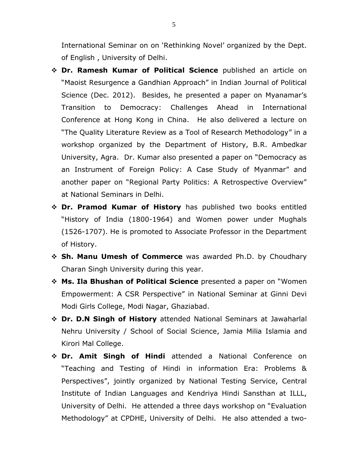International Seminar on on 'Rethinking Novel' organized by the Dept. of English , University of Delhi.

- ❖ **Dr. Ramesh Kumar of Political Science** published an article on "Maoist Resurgence a Gandhian Approach" in Indian Journal of Political Science (Dec. 2012). Besides, he presented a paper on Myanamar's Transition to Democracy: Challenges Ahead in International Conference at Hong Kong in China. He also delivered a lecture on "The Quality Literature Review as a Tool of Research Methodology" in a workshop organized by the Department of History, B.R. Ambedkar University, Agra. Dr. Kumar also presented a paper on "Democracy as an Instrument of Foreign Policy: A Case Study of Myanmar" and another paper on "Regional Party Politics: A Retrospective Overview" at National Seminars in Delhi.
- ❖ **Dr. Pramod Kumar of History** has published two books entitled "History of India (1800-1964) and Women power under Mughals (1526-1707). He is promoted to Associate Professor in the Department of History.
- ❖ **Sh. Manu Umesh of Commerce** was awarded Ph.D. by Choudhary Charan Singh University during this year.
- ❖ **Ms. Ila Bhushan of Political Science** presented a paper on "Women Empowerment: A CSR Perspective" in National Seminar at Ginni Devi Modi Girls College, Modi Nagar, Ghaziabad.
- ❖ **Dr. D.N Singh of History** attended National Seminars at Jawaharlal Nehru University / School of Social Science, Jamia Milia Islamia and Kirori Mal College.
- ❖ **Dr. Amit Singh of Hindi** attended a National Conference on "Teaching and Testing of Hindi in information Era: Problems & Perspectives", jointly organized by National Testing Service, Central Institute of Indian Languages and Kendriya Hindi Sansthan at ILLL, University of Delhi. He attended a three days workshop on "Evaluation Methodology" at CPDHE, University of Delhi. He also attended a two-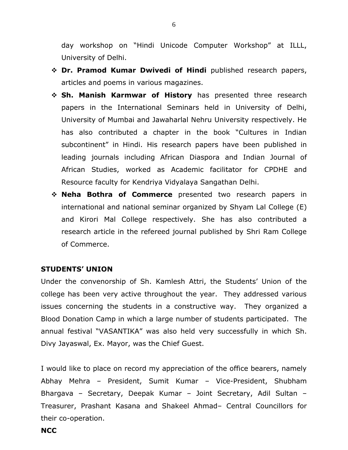day workshop on "Hindi Unicode Computer Workshop" at ILLL, University of Delhi.

- ❖ **Dr. Pramod Kumar Dwivedi of Hindi** published research papers, articles and poems in various magazines.
- ❖ **Sh. Manish Karmwar of History** has presented three research papers in the International Seminars held in University of Delhi, University of Mumbai and Jawaharlal Nehru University respectively. He has also contributed a chapter in the book "Cultures in Indian subcontinent" in Hindi. His research papers have been published in leading journals including African Diaspora and Indian Journal of African Studies, worked as Academic facilitator for CPDHE and Resource faculty for Kendriya Vidyalaya Sangathan Delhi.
- ❖ **Neha Bothra of Commerce** presented two research papers in international and national seminar organized by Shyam Lal College (E) and Kirori Mal College respectively. She has also contributed a research article in the refereed journal published by Shri Ram College of Commerce.

#### **STUDENTS' UNION**

Under the convenorship of Sh. Kamlesh Attri, the Students' Union of the college has been very active throughout the year. They addressed various issues concerning the students in a constructive way. They organized a Blood Donation Camp in which a large number of students participated. The annual festival "VASANTIKA" was also held very successfully in which Sh. Divy Jayaswal, Ex. Mayor, was the Chief Guest.

I would like to place on record my appreciation of the office bearers, namely Abhay Mehra – President, Sumit Kumar – Vice-President, Shubham Bhargava – Secretary, Deepak Kumar – Joint Secretary, Adil Sultan – Treasurer, Prashant Kasana and Shakeel Ahmad– Central Councillors for their co-operation.

#### **NCC**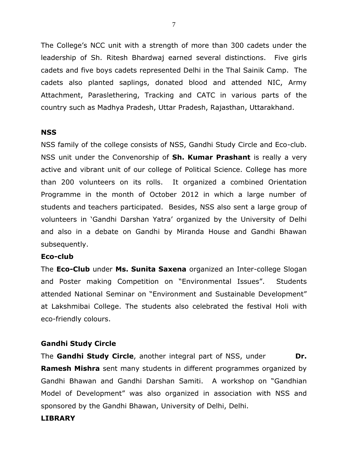The College's NCC unit with a strength of more than 300 cadets under the leadership of Sh. Ritesh Bhardwaj earned several distinctions. Five girls cadets and five boys cadets represented Delhi in the Thal Sainik Camp. The cadets also planted saplings, donated blood and attended NIC, Army Attachment, Paraslethering, Tracking and CATC in various parts of the country such as Madhya Pradesh, Uttar Pradesh, Rajasthan, Uttarakhand.

#### **NSS**

NSS family of the college consists of NSS, Gandhi Study Circle and Eco-club. NSS unit under the Convenorship of **Sh. Kumar Prashant** is really a very active and vibrant unit of our college of Political Science. College has more than 200 volunteers on its rolls. It organized a combined Orientation Programme in the month of October 2012 in which a large number of students and teachers participated. Besides, NSS also sent a large group of volunteers in 'Gandhi Darshan Yatra' organized by the University of Delhi and also in a debate on Gandhi by Miranda House and Gandhi Bhawan subsequently.

#### **Eco-club**

The **Eco-Club** under **Ms. Sunita Saxena** organized an Inter-college Slogan and Poster making Competition on "Environmental Issues". Students attended National Seminar on "Environment and Sustainable Development" at Lakshmibai College. The students also celebrated the festival Holi with eco-friendly colours.

#### **Gandhi Study Circle**

The **Gandhi Study Circle**, another integral part of NSS, under **Dr. Ramesh Mishra** sent many students in different programmes organized by Gandhi Bhawan and Gandhi Darshan Samiti. A workshop on "Gandhian Model of Development" was also organized in association with NSS and sponsored by the Gandhi Bhawan, University of Delhi, Delhi.

#### **LIBRARY**

7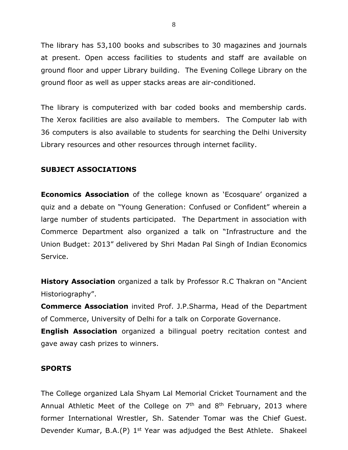The library has 53,100 books and subscribes to 30 magazines and journals at present. Open access facilities to students and staff are available on ground floor and upper Library building. The Evening College Library on the ground floor as well as upper stacks areas are air-conditioned.

The library is computerized with bar coded books and membership cards. The Xerox facilities are also available to members. The Computer lab with 36 computers is also available to students for searching the Delhi University Library resources and other resources through internet facility.

#### **SUBJECT ASSOCIATIONS**

**Economics Association** of the college known as 'Ecosquare' organized a quiz and a debate on "Young Generation: Confused or Confident" wherein a large number of students participated. The Department in association with Commerce Department also organized a talk on "Infrastructure and the Union Budget: 2013" delivered by Shri Madan Pal Singh of Indian Economics Service.

**History Association** organized a talk by Professor R.C Thakran on "Ancient Historiography".

**Commerce Association** invited Prof. J.P.Sharma, Head of the Department of Commerce, University of Delhi for a talk on Corporate Governance.

**English Association** organized a bilingual poetry recitation contest and gave away cash prizes to winners.

#### **SPORTS**

The College organized Lala Shyam Lal Memorial Cricket Tournament and the Annual Athletic Meet of the College on 7<sup>th</sup> and 8<sup>th</sup> February, 2013 where former International Wrestler, Sh. Satender Tomar was the Chief Guest. Devender Kumar, B.A.(P) 1<sup>st</sup> Year was adjudged the Best Athlete. Shakeel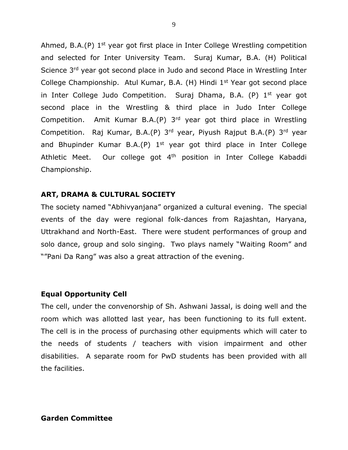Ahmed, B.A.(P) 1<sup>st</sup> year got first place in Inter College Wrestling competition and selected for Inter University Team. Suraj Kumar, B.A. (H) Political Science 3<sup>rd</sup> year got second place in Judo and second Place in Wrestling Inter College Championship. Atul Kumar, B.A.  $(H)$  Hindi 1<sup>st</sup> Year got second place in Inter College Judo Competition. Suraj Dhama, B.A.  $(P)$  1<sup>st</sup> year got second place in the Wrestling & third place in Judo Inter College Competition. Amit Kumar B.A.(P) 3rd year got third place in Wrestling Competition. Raj Kumar, B.A.(P)  $3^{rd}$  year, Piyush Rajput B.A.(P)  $3^{rd}$  year and Bhupinder Kumar B.A.(P) 1<sup>st</sup> year got third place in Inter College Athletic Meet. Our college got 4<sup>th</sup> position in Inter College Kabaddi Championship.

#### **ART, DRAMA & CULTURAL SOCIETY**

The society named "Abhivyanjana" organized a cultural evening. The special events of the day were regional folk-dances from Rajashtan, Haryana, Uttrakhand and North-East. There were student performances of group and solo dance, group and solo singing. Two plays namely "Waiting Room" and ""Pani Da Rang" was also a great attraction of the evening.

#### **Equal Opportunity Cell**

The cell, under the convenorship of Sh. Ashwani Jassal, is doing well and the room which was allotted last year, has been functioning to its full extent. The cell is in the process of purchasing other equipments which will cater to the needs of students / teachers with vision impairment and other disabilities. A separate room for PwD students has been provided with all the facilities.

#### **Garden Committee**